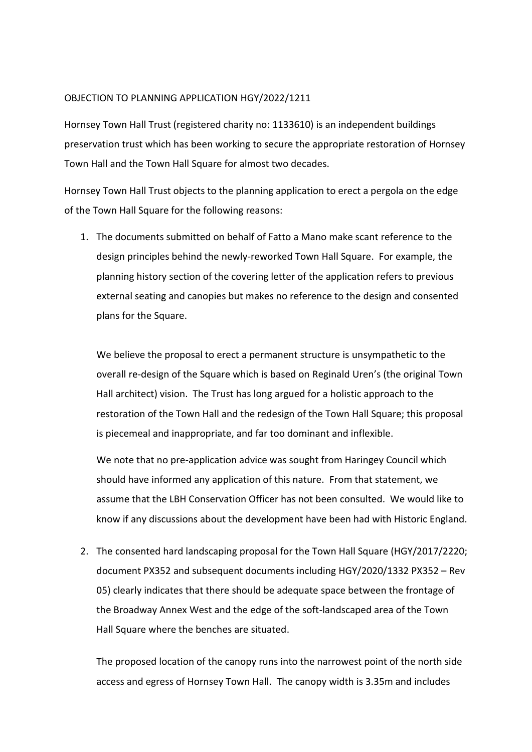## OBJECTION TO PLANNING APPLICATION HGY/2022/1211

Hornsey Town Hall Trust (registered charity no: 1133610) is an independent buildings preservation trust which has been working to secure the appropriate restoration of Hornsey Town Hall and the Town Hall Square for almost two decades.

Hornsey Town Hall Trust objects to the planning application to erect a pergola on the edge of the Town Hall Square for the following reasons:

1. The documents submitted on behalf of Fatto a Mano make scant reference to the design principles behind the newly-reworked Town Hall Square. For example, the planning history section of the covering letter of the application refers to previous external seating and canopies but makes no reference to the design and consented plans for the Square.

We believe the proposal to erect a permanent structure is unsympathetic to the overall re-design of the Square which is based on Reginald Uren's (the original Town Hall architect) vision. The Trust has long argued for a holistic approach to the restoration of the Town Hall and the redesign of the Town Hall Square; this proposal is piecemeal and inappropriate, and far too dominant and inflexible.

We note that no pre-application advice was sought from Haringey Council which should have informed any application of this nature. From that statement, we assume that the LBH Conservation Officer has not been consulted. We would like to know if any discussions about the development have been had with Historic England.

2. The consented hard landscaping proposal for the Town Hall Square (HGY/2017/2220; document PX352 and subsequent documents including HGY/2020/1332 PX352 – Rev 05) clearly indicates that there should be adequate space between the frontage of the Broadway Annex West and the edge of the soft-landscaped area of the Town Hall Square where the benches are situated.

The proposed location of the canopy runs into the narrowest point of the north side access and egress of Hornsey Town Hall. The canopy width is 3.35m and includes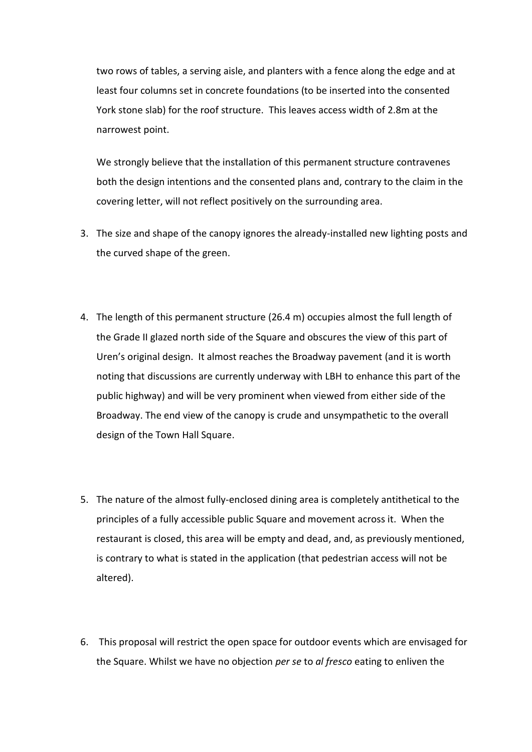two rows of tables, a serving aisle, and planters with a fence along the edge and at least four columns set in concrete foundations (to be inserted into the consented York stone slab) for the roof structure. This leaves access width of 2.8m at the narrowest point.

We strongly believe that the installation of this permanent structure contravenes both the design intentions and the consented plans and, contrary to the claim in the covering letter, will not reflect positively on the surrounding area.

- 3. The size and shape of the canopy ignores the already-installed new lighting posts and the curved shape of the green.
- 4. The length of this permanent structure (26.4 m) occupies almost the full length of the Grade II glazed north side of the Square and obscures the view of this part of Uren's original design. It almost reaches the Broadway pavement (and it is worth noting that discussions are currently underway with LBH to enhance this part of the public highway) and will be very prominent when viewed from either side of the Broadway. The end view of the canopy is crude and unsympathetic to the overall design of the Town Hall Square.
- 5. The nature of the almost fully-enclosed dining area is completely antithetical to the principles of a fully accessible public Square and movement across it. When the restaurant is closed, this area will be empty and dead, and, as previously mentioned, is contrary to what is stated in the application (that pedestrian access will not be altered).
- 6. This proposal will restrict the open space for outdoor events which are envisaged for the Square. Whilst we have no objection *per se* to *al fresco* eating to enliven the